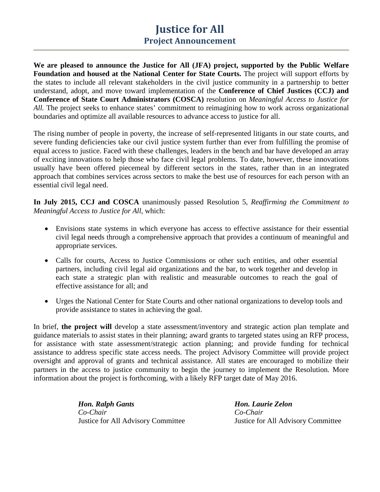## **Justice for All Project Announcement**

**We are pleased to announce the Justice for All (JFA) project, supported by the Public Welfare Foundation and housed at the National Center for State Courts.** The project will support efforts by the states to include all relevant stakeholders in the civil justice community in a partnership to better understand, adopt, and move toward implementation of the **Conference of Chief Justices (CCJ) and Conference of State Court Administrators (COSCA)** resolution on *Meaningful Access to Justice for All.* The project seeks to enhance states' commitment to reimagining how to work across organizational boundaries and optimize all available resources to advance access to justice for all.

The rising number of people in poverty, the increase of self-represented litigants in our state courts, and severe funding deficiencies take our civil justice system further than ever from fulfilling the promise of equal access to justice. Faced with these challenges, leaders in the bench and bar have developed an array of exciting innovations to help those who face civil legal problems. To date, however, these innovations usually have been offered piecemeal by different sectors in the states, rather than in an integrated approach that combines services across sectors to make the best use of resources for each person with an essential civil legal need.

**In July 2015, CCJ and COSCA** unanimously passed Resolution 5, *Reaffirming the Commitment to Meaningful Access to Justice for All,* which:

- Envisions state systems in which everyone has access to effective assistance for their essential civil legal needs through a comprehensive approach that provides a continuum of meaningful and appropriate services.
- Calls for courts, Access to Justice Commissions or other such entities, and other essential partners, including civil legal aid organizations and the bar, to work together and develop in each state a strategic plan with realistic and measurable outcomes to reach the goal of effective assistance for all; and
- Urges the National Center for State Courts and other national organizations to develop tools and provide assistance to states in achieving the goal.

In brief, **the project will** develop a state assessment/inventory and strategic action plan template and guidance materials to assist states in their planning; award grants to targeted states using an RFP process, for assistance with state assessment/strategic action planning; and provide funding for technical assistance to address specific state access needs. The project Advisory Committee will provide project oversight and approval of grants and technical assistance. All states are encouraged to mobilize their partners in the access to justice community to begin the journey to implement the Resolution. More information about the project is forthcoming, with a likely RFP target date of May 2016.

> *Hon. Ralph Gants Hon. Laurie Zelon Co-Chair Co-Chair*

Justice for All Advisory Committee Justice for All Advisory Committee